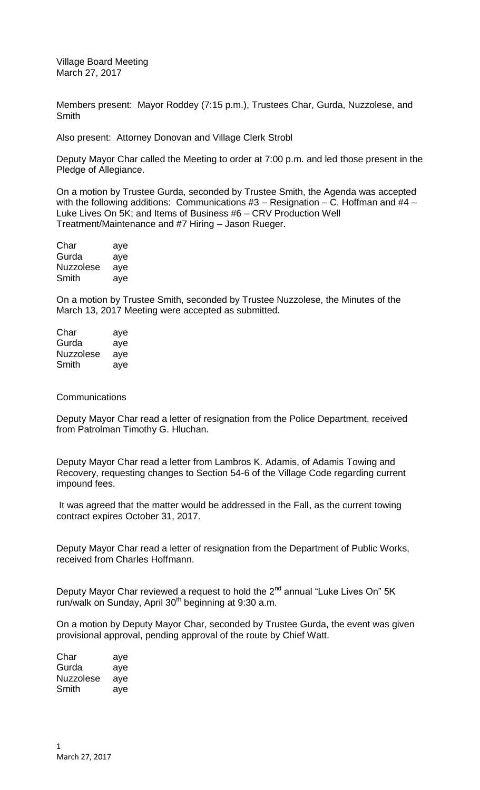Village Board Meeting March 27, 2017

Members present: Mayor Roddey (7:15 p.m.), Trustees Char, Gurda, Nuzzolese, and Smith

Also present: Attorney Donovan and Village Clerk Strobl

Deputy Mayor Char called the Meeting to order at 7:00 p.m. and led those present in the Pledge of Allegiance.

On a motion by Trustee Gurda, seconded by Trustee Smith, the Agenda was accepted with the following additions: Communications  $#3 -$ Resignation – C. Hoffman and  $#4 -$ Luke Lives On 5K; and Items of Business #6 – CRV Production Well Treatment/Maintenance and #7 Hiring – Jason Rueger.

| Char             | aye |
|------------------|-----|
| Gurda            | aye |
| <b>Nuzzolese</b> | aye |
| Smith            | aye |

On a motion by Trustee Smith, seconded by Trustee Nuzzolese, the Minutes of the March 13, 2017 Meeting were accepted as submitted.

| Char             | aye |
|------------------|-----|
| Gurda            | aye |
| <b>Nuzzolese</b> | aye |
| Smith            | ave |

## **Communications**

Deputy Mayor Char read a letter of resignation from the Police Department, received from Patrolman Timothy G. Hluchan.

Deputy Mayor Char read a letter from Lambros K. Adamis, of Adamis Towing and Recovery, requesting changes to Section 54-6 of the Village Code regarding current impound fees.

It was agreed that the matter would be addressed in the Fall, as the current towing contract expires October 31, 2017.

Deputy Mayor Char read a letter of resignation from the Department of Public Works, received from Charles Hoffmann.

Deputy Mayor Char reviewed a request to hold the 2<sup>nd</sup> annual "Luke Lives On" 5K run/walk on Sunday, April 30<sup>th</sup> beginning at 9:30 a.m.

On a motion by Deputy Mayor Char, seconded by Trustee Gurda, the event was given provisional approval, pending approval of the route by Chief Watt.

| Char      | aye |
|-----------|-----|
| Gurda     | aye |
| Nuzzolese | aye |
| Smith     | aye |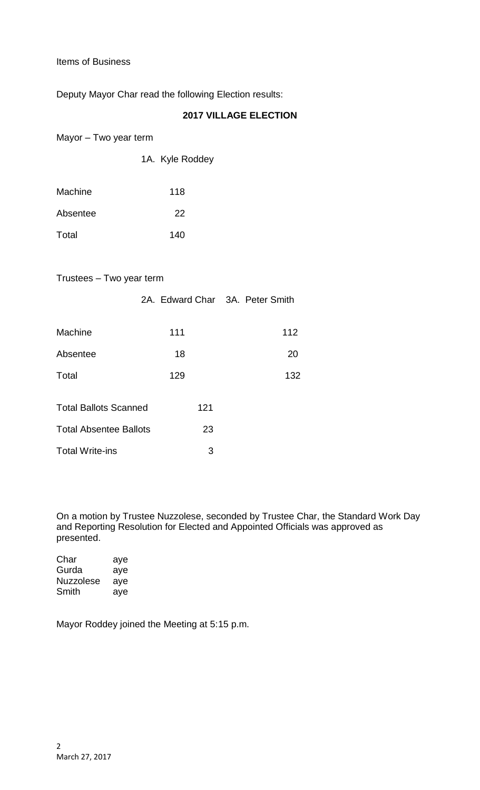Items of Business

Deputy Mayor Char read the following Election results:

1A. Kyle Roddey

## **2017 VILLAGE ELECTION**

Mayor – Two year term

| Machine  | 118 |  |
|----------|-----|--|
| Absentee | 22  |  |
| Total    | 140 |  |

## Trustees – Two year term

|                               | 2A. Edward Char 3A. Peter Smith |     |
|-------------------------------|---------------------------------|-----|
| Machine                       | 111                             | 112 |
| Absentee                      | 18                              | 20  |
| Total                         | 129                             | 132 |
| <b>Total Ballots Scanned</b>  | 121                             |     |
| <b>Total Absentee Ballots</b> | 23                              |     |
| <b>Total Write-ins</b>        | 3                               |     |

On a motion by Trustee Nuzzolese, seconded by Trustee Char, the Standard Work Day and Reporting Resolution for Elected and Appointed Officials was approved as presented.

| Char             | aye |
|------------------|-----|
| Gurda            | aye |
| <b>Nuzzolese</b> | ave |
| Smith            | ave |

Mayor Roddey joined the Meeting at 5:15 p.m.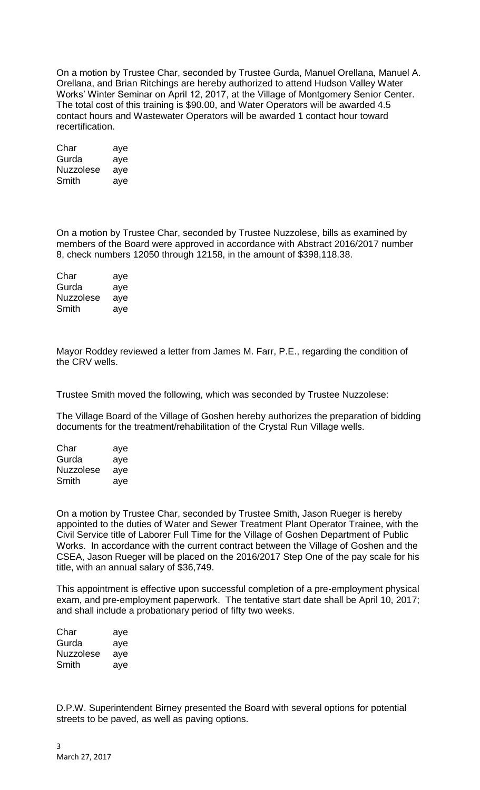On a motion by Trustee Char, seconded by Trustee Gurda, Manuel Orellana, Manuel A. Orellana, and Brian Ritchings are hereby authorized to attend Hudson Valley Water Works' Winter Seminar on April 12, 2017, at the Village of Montgomery Senior Center. The total cost of this training is \$90.00, and Water Operators will be awarded 4.5 contact hours and Wastewater Operators will be awarded 1 contact hour toward recertification.

| Char             | aye |
|------------------|-----|
| Gurda            | aye |
| <b>Nuzzolese</b> | aye |
| Smith            | aye |

On a motion by Trustee Char, seconded by Trustee Nuzzolese, bills as examined by members of the Board were approved in accordance with Abstract 2016/2017 number 8, check numbers 12050 through 12158, in the amount of \$398,118.38.

| Char      | aye |
|-----------|-----|
| Gurda     | aye |
| Nuzzolese | aye |
| Smith     | aye |

Mayor Roddey reviewed a letter from James M. Farr, P.E., regarding the condition of the CRV wells.

Trustee Smith moved the following, which was seconded by Trustee Nuzzolese:

The Village Board of the Village of Goshen hereby authorizes the preparation of bidding documents for the treatment/rehabilitation of the Crystal Run Village wells.

| Char      | aye |
|-----------|-----|
| Gurda     | aye |
| Nuzzolese | aye |
| Smith     | aye |

On a motion by Trustee Char, seconded by Trustee Smith, Jason Rueger is hereby appointed to the duties of Water and Sewer Treatment Plant Operator Trainee, with the Civil Service title of Laborer Full Time for the Village of Goshen Department of Public Works. In accordance with the current contract between the Village of Goshen and the CSEA, Jason Rueger will be placed on the 2016/2017 Step One of the pay scale for his title, with an annual salary of \$36,749.

This appointment is effective upon successful completion of a pre-employment physical exam, and pre-employment paperwork. The tentative start date shall be April 10, 2017; and shall include a probationary period of fifty two weeks.

| Char      | aye |
|-----------|-----|
| Gurda     | aye |
| Nuzzolese | aye |
| Smith     | aye |

D.P.W. Superintendent Birney presented the Board with several options for potential streets to be paved, as well as paving options.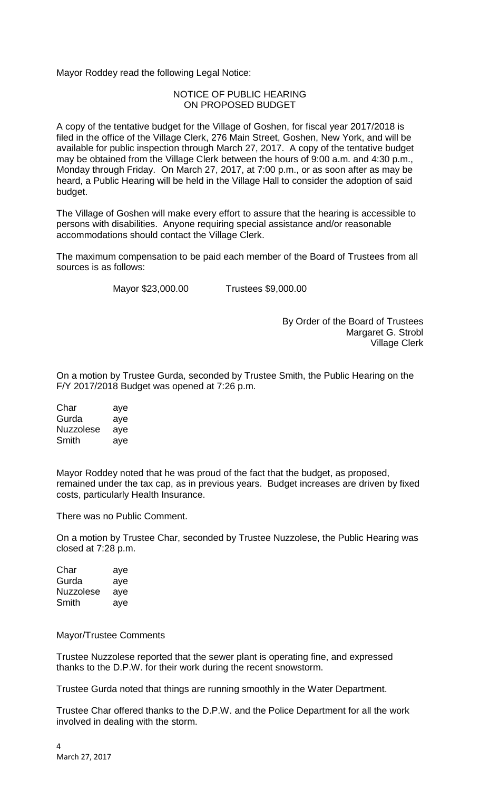Mayor Roddey read the following Legal Notice:

## NOTICE OF PUBLIC HEARING ON PROPOSED BUDGET

A copy of the tentative budget for the Village of Goshen, for fiscal year 2017/2018 is filed in the office of the Village Clerk, 276 Main Street, Goshen, New York, and will be available for public inspection through March 27, 2017. A copy of the tentative budget may be obtained from the Village Clerk between the hours of 9:00 a.m. and 4:30 p.m., Monday through Friday. On March 27, 2017, at 7:00 p.m., or as soon after as may be heard, a Public Hearing will be held in the Village Hall to consider the adoption of said budget.

The Village of Goshen will make every effort to assure that the hearing is accessible to persons with disabilities. Anyone requiring special assistance and/or reasonable accommodations should contact the Village Clerk.

The maximum compensation to be paid each member of the Board of Trustees from all sources is as follows:

Mayor \$23,000.00 Trustees \$9,000.00

By Order of the Board of Trustees Margaret G. Strobl Village Clerk

On a motion by Trustee Gurda, seconded by Trustee Smith, the Public Hearing on the F/Y 2017/2018 Budget was opened at 7:26 p.m.

| Char      | aye |
|-----------|-----|
| Gurda     | aye |
| Nuzzolese | aye |
| Smith     | aye |

Mayor Roddey noted that he was proud of the fact that the budget, as proposed, remained under the tax cap, as in previous years. Budget increases are driven by fixed costs, particularly Health Insurance.

There was no Public Comment.

On a motion by Trustee Char, seconded by Trustee Nuzzolese, the Public Hearing was closed at 7:28 p.m.

| Char      | aye |
|-----------|-----|
| Gurda     | aye |
| Nuzzolese | aye |
| Smith     | aye |

Mayor/Trustee Comments

Trustee Nuzzolese reported that the sewer plant is operating fine, and expressed thanks to the D.P.W. for their work during the recent snowstorm.

Trustee Gurda noted that things are running smoothly in the Water Department.

Trustee Char offered thanks to the D.P.W. and the Police Department for all the work involved in dealing with the storm.